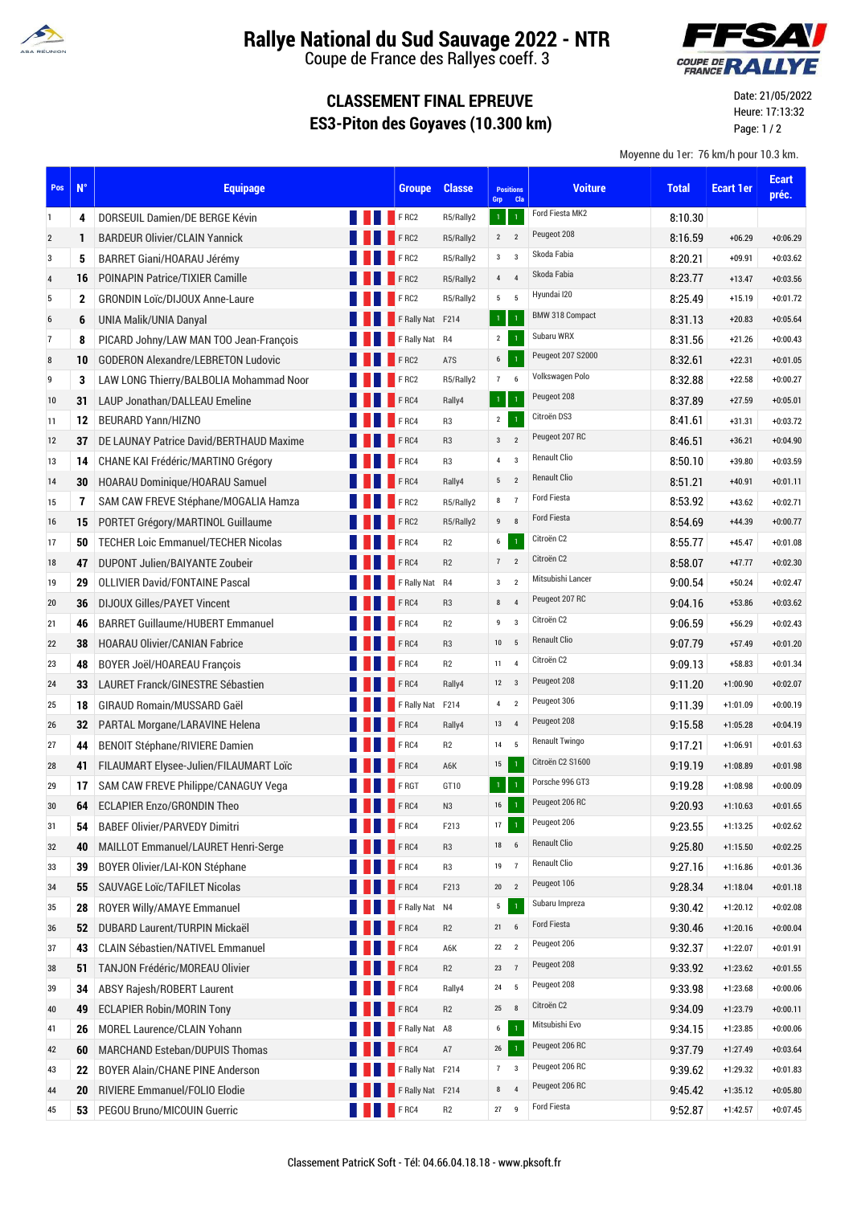

## **Rallye National du Sud Sauvage 2022 - NTR**

Coupe de France des Rallyes coeff. 3

## **CLASSEMENT FINAL EPREUVE ES3-Piton des Goyaves (10.300 km)**



Date: 21/05/2022 Heure: 17:13:32 Page: 1 / 2

Moyenne du 1er: 76 km/h pour 10.3 km.

| Pos                     | $N^{\circ}$  | <b>Equipage</b>                            |             | <b>Groupe</b>    | <b>Classe</b>  | <b>Positions</b><br><b>Cla</b><br>Grp     | <b>Voiture</b>         | <b>Total</b> | <b>Ecart 1er</b> | <b>Ecart</b><br>préc. |
|-------------------------|--------------|--------------------------------------------|-------------|------------------|----------------|-------------------------------------------|------------------------|--------------|------------------|-----------------------|
| 1                       | 4            | DORSEUIL Damien/DE BERGE Kévin             |             | <b>FRC2</b>      | R5/Rally2      | $\mathbf{1}$<br>$\mathbf{1}$              | Ford Fiesta MK2        | 8:10.30      |                  |                       |
| $\overline{\mathbf{c}}$ | 1            | <b>BARDEUR Olivier/CLAIN Yannick</b>       |             | FRC2             | R5/Rally2      | $\overline{2}$<br>$\overline{2}$          | Peugeot 208            | 8:16.59      | $+06.29$         | $+0:06.29$            |
| 3                       | 5            | BARRET Giani/HOARAU Jérémy                 |             | FRC2             | R5/Rally2      | $\overline{\mathbf{3}}$<br>3 <sup>1</sup> | Skoda Fabia            | 8:20.21      | $+09.91$         | $+0:03.62$            |
| 4                       | 16           | POINAPIN Patrice/TIXIER Camille            |             | FRC2             | R5/Rally2      | $\overline{4}$<br>$\overline{4}$          | Skoda Fabia            | 8:23.77      | $+13.47$         | $+0:03.56$            |
| 5                       | $\mathbf{2}$ | <b>GRONDIN Loïc/DIJOUX Anne-Laure</b>      |             | FRC2             | R5/Rally2      | 5 <sub>5</sub><br>5                       | Hyundai I20            | 8:25.49      | $+15.19$         | $+0:01.72$            |
| 6                       | 6            | UNIA Malik/UNIA Danyal                     |             | F Rally Nat F214 |                | $\overline{1}$<br>$1^\circ$               | <b>BMW 318 Compact</b> | 8:31.13      | $+20.83$         | $+0:05.64$            |
| 7                       | 8            | PICARD Johny/LAW MAN TOO Jean-François     |             | F Rally Nat R4   |                | $2^{\circ}$<br>$\,1\,$                    | Subaru WRX             | 8:31.56      | $+21.26$         | $+0:00.43$            |
| 8                       | 10           | <b>GODERON Alexandre/LEBRETON Ludovic</b>  |             | FRC2             | A7S            | $\mathbf 1$<br>$6\overline{6}$            | Peugeot 207 S2000      | 8:32.61      | $+22.31$         | $+0:01.05$            |
| 9                       | 3            | LAW LONG Thierry/BALBOLIA Mohammad Noor    |             | FRC2             | R5/Rally2      | 76                                        | Volkswagen Polo        | 8:32.88      | $+22.58$         | $+0:00.27$            |
| 10                      | 31           | LAUP Jonathan/DALLEAU Emeline              |             | FRC4             | Rally4         | $\mathbf{1}$<br>$\overline{1}$            | Peugeot 208            | 8.37.89      | $+27.59$         | $+0:05.01$            |
| 11                      | 12           | <b>BEURARD Yann/HIZNO</b>                  |             | F <sub>RC4</sub> | R <sub>3</sub> | $\mathbf 1$<br>$\overline{2}$             | Citroën DS3            | 8:41.61      | $+31.31$         | $+0:03.72$            |
| 12                      | 37           | DE LAUNAY Patrice David/BERTHAUD Maxime    |             | <b>FRC4</b>      | R <sub>3</sub> | 3 <sub>2</sub>                            | Peugeot 207 RC         | 8:46.51      | $+36.21$         | $+0:04.90$            |
| 13                      | 14           | CHANE KAI Frédéric/MARTINO Grégory         |             | FRC4             | R <sub>3</sub> | $\overline{3}$<br>$\pmb{4}$               | <b>Renault Clio</b>    | 8:50.10      | $+39.80$         | $+0:03.59$            |
| 14                      | 30           | HOARAU Dominique/HOARAU Samuel             |             | FRC4             | Rally4         | $\overline{2}$<br>$\sqrt{5}$              | <b>Renault Clio</b>    | 8:51.21      | $+40.91$         | $+0:01.11$            |
| 15                      | 7            | SAM CAW FREVE Stéphane/MOGALIA Hamza       |             | FRC2             | R5/Rally2      | $\overline{7}$<br>$\bf 8$                 | <b>Ford Fiesta</b>     | 8:53.92      | $+43.62$         | $+0:02.71$            |
| 16                      | 15           | PORTET Grégory/MARTINOL Guillaume          |             | FRC2             | R5/Rally2      | 8<br>9                                    | <b>Ford Fiesta</b>     | 8:54.69      | $+44.39$         | $+0:00.77$            |
| 17                      | 50           | <b>TECHER Loic Emmanuel/TECHER Nicolas</b> |             | <b>FRC4</b>      | R2             | $\mathbf{1}$<br>$6-1$                     | Citroën C2             | 8:55.77      | $+45.47$         | $+0:01.08$            |
| 18                      | 47           | DUPONT Julien/BAIYANTE Zoubeir             |             | <b>FRC4</b>      | R <sub>2</sub> | $7\quad 2$                                | Citroën C2             | 8:58.07      | $+47.77$         | $+0:02.30$            |
| 19                      | 29           | <b>OLLIVIER David/FONTAINE Pascal</b>      |             | F Rally Nat R4   |                | $\overline{2}$<br>$\mathbf{3}$            | Mitsubishi Lancer      | 9:00.54      | $+50.24$         | $+0:02.47$            |
| 20                      | 36           | <b>DIJOUX Gilles/PAYET Vincent</b>         |             | FRC4             | R <sub>3</sub> | 8<br>$\overline{4}$                       | Peugeot 207 RC         | 9:04.16      | $+53.86$         | $+0:03.62$            |
| 21                      | 46           | <b>BARRET Guillaume/HUBERT Emmanuel</b>    |             | F <sub>RC4</sub> | R <sub>2</sub> | $\boldsymbol{9}$<br>$\overline{3}$        | Citroën C2             | 9:06.59      | $+56.29$         | $+0:02.43$            |
| 22                      | 38           | <b>HOARAU Olivier/CANIAN Fabrice</b>       |             | FRC4             | R <sub>3</sub> | 5<br>10                                   | <b>Renault Clio</b>    | 9:07.79      | $+57.49$         | $+0:01.20$            |
| 23                      | 48           | BOYER Joël/HOAREAU François                |             | <b>FRC4</b>      | R <sub>2</sub> | $\overline{4}$<br>11                      | Citroën C2             | 9:09.13      | $+58.83$         | $+0:01.34$            |
| 24                      | 33           | LAURET Franck/GINESTRE Sébastien           |             | FRC4             | Rally4         | $_{3}$<br>12                              | Peugeot 208            | 9:11.20      | $+1:00.90$       | $+0:02.07$            |
| 25                      | 18           | GIRAUD Romain/MUSSARD Gaël                 |             | F Rally Nat F214 |                | $\overline{2}$<br>$\overline{4}$          | Peugeot 306            | 9:11.39      | $+1:01.09$       | $+0:00.19$            |
| 26                      | 32           | PARTAL Morgane/LARAVINE Helena             |             | FRC4             | Rally4         | $\overline{4}$<br>13                      | Peugeot 208            | 9:15.58      | $+1:05.28$       | $+0:04.19$            |
| 27                      | 44           | <b>BENOIT Stéphane/RIVIERE Damien</b>      |             | FRC4             | R <sub>2</sub> | 5<br>14                                   | <b>Renault Twingo</b>  | 9:17.21      | $+1:06.91$       | $+0:01.63$            |
| 28                      | 41           | FILAUMART Elysee-Julien/FILAUMART Loïc     |             | FRC4             | A6K            | 15<br>$\overline{1}$                      | Citroën C2 S1600       | 9:19.19      | $+1:08.89$       | $+0:01.98$            |
| 29                      | 17           | SAM CAW FREVE Philippe/CANAGUY Vega        |             | FRGT             | GT10           | $\overline{1}$<br>$\mathbf 1$             | Porsche 996 GT3        | 9:19.28      | $+1:08.98$       | $+0:00.09$            |
| 30                      | 64           | <b>ECLAPIER Enzo/GRONDIN Theo</b>          |             | F <sub>RC4</sub> | N <sub>3</sub> | $\mathbf{1}$<br>16                        | Peugeot 206 RC         | 9:20.93      | $+1:10.63$       | $+0:01.65$            |
| 31                      | 54           | <b>BABEF Olivier/PARVEDY Dimitri</b>       |             | <b>FRC4</b>      | F213           | $\,1\,$<br>17                             | Peugeot 206            | 9:23.55      | $+1:13.25$       | $+0:02.62$            |
| 32                      | 40           | MAILLOT Emmanuel/LAURET Henri-Serge        |             | FRC4             | R <sub>3</sub> | $\boldsymbol{6}$<br>18                    | <b>Renault Clio</b>    | 9:25.80      | $+1:15.50$       | $+0:02.25$            |
| 33                      | 39           | BOYER Olivier/LAI-KON Stéphane             |             | FRC4             | R <sub>3</sub> | $\overline{7}$<br>19                      | Renault Clio           | 9:27.16      | $+1:16.86$       | $+0:01.36$            |
| 34                      | 55           | SAUVAGE Loïc/TAFILET Nicolas               |             | FRC4             | F213           | $\overline{2}$<br>$20\,$                  | Peugeot 106            | 9:28.34      | $+1:18.04$       | $+0:01.18$            |
| 35                      | 28           | ROYER Willy/AMAYE Emmanuel                 |             | F Rally Nat N4   |                | $\mathbf 5$<br>$\,1\,$                    | Subaru Impreza         | 9:30.42      | $+1:20.12$       | $+0:02.08$            |
| 36                      | 52           | DUBARD Laurent/TURPIN Mickaël              |             | FRC4             | R <sub>2</sub> | $\boldsymbol{6}$<br>21                    | Ford Fiesta            | 9:30.46      | $+1:20.16$       | $+0:00.04$            |
| 37                      | 43           | <b>CLAIN Sébastien/NATIVEL Emmanuel</b>    |             | FRC4             | A6K            | $\overline{2}$<br>22                      | Peugeot 206            | 9:32.37      | $+1:22.07$       | $+0:01.91$            |
| 38                      | 51           | TANJON Frédéric/MOREAU Olivier             |             | FRC4             | R <sub>2</sub> | 23<br>$\overline{7}$                      | Peugeot 208            | 9:33.92      | $+1:23.62$       | $+0:01.55$            |
| 39                      | 34           | <b>ABSY Rajesh/ROBERT Laurent</b>          |             | FRC4             | Rally4         | 5<br>24                                   | Peugeot 208            | 9:33.98      | $+1:23.68$       | $+0:00.06$            |
| 40                      | 49           | <b>ECLAPIER Robin/MORIN Tony</b>           |             | FRC4             | R <sub>2</sub> | 8<br>$25\phantom{.0}$                     | Citroën C2             | 9:34.09      | $+1:23.79$       | $+0:00.11$            |
| 41                      | 26           | MOREL Laurence/CLAIN Yohann                |             | F Rally Nat A8   |                | $\boldsymbol{6}$<br>$\mathbf{1}$          | Mitsubishi Evo         | 9:34.15      | $+1:23.85$       | $+0:00.06$            |
| 42                      | 60           | MARCHAND Esteban/DUPUIS Thomas             |             | FRC4             | A7             | $\,1\,$<br>$26\,$                         | Peugeot 206 RC         | 9:37.79      | $+1:27.49$       | $+0:03.64$            |
| 43                      | 22           | BOYER Alain/CHANE PINE Anderson            |             | F Rally Nat F214 |                | $\overline{7}$<br>$\overline{3}$          | Peugeot 206 RC         | 9:39.62      | $+1:29.32$       | $+0:01.83$            |
| 44                      | 20           | RIVIERE Emmanuel/FOLIO Elodie              |             | F Rally Nat F214 |                | $\bf 8$<br>$\overline{4}$                 | Peugeot 206 RC         | 9:45.42      | $+1:35.12$       | $+0:05.80$            |
| 45                      | 53           | PEGOU Bruno/MICOUIN Guerric                | <b>FRC4</b> |                  | R2             | 27<br>$\overline{9}$                      | <b>Ford Fiesta</b>     | 9:52.87      | $+1:42.57$       | $+0:07.45$            |